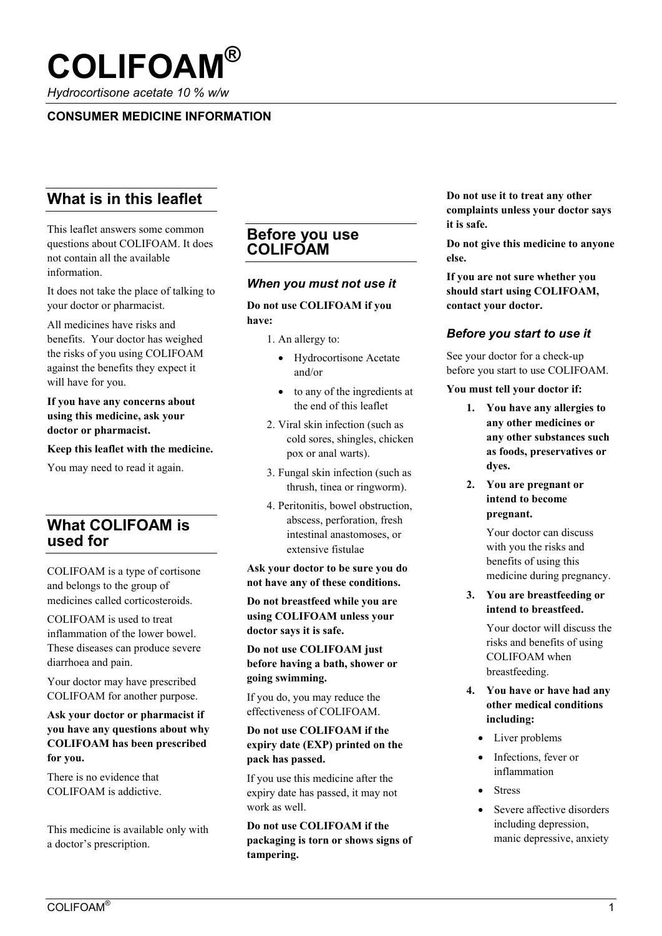

*Hydrocortisone acetate 10 % w/w*

# **CONSUMER MEDICINE INFORMATION**

# **What is in this leaflet**

This leaflet answers some common questions about COLIFOAM. It does not contain all the available information.

It does not take the place of talking to your doctor or pharmacist.

All medicines have risks and benefits. Your doctor has weighed the risks of you using COLIFOAM against the benefits they expect it will have for you.

**If you have any concerns about using this medicine, ask your doctor or pharmacist.**

**Keep this leaflet with the medicine.** 

You may need to read it again.

# **What COLIFOAM is used for**

COLIFOAM is a type of cortisone and belongs to the group of medicines called corticosteroids.

COLIFOAM is used to treat inflammation of the lower bowel. These diseases can produce severe diarrhoea and pain.

Your doctor may have prescribed COLIFOAM for another purpose.

**Ask your doctor or pharmacist if you have any questions about why COLIFOAM has been prescribed for you.**

There is no evidence that COLIFOAM is addictive.

This medicine is available only with a doctor's prescription.

## **Before you use COLIFOAM**

### *When you must not use it*

# **Do not use COLIFOAM if you**

### **have:**

- 1. An allergy to:
	- Hydrocortisone Acetate and/or
	- to any of the ingredients at the end of this leaflet
- 2. Viral skin infection (such as cold sores, shingles, chicken pox or anal warts).
- 3. Fungal skin infection (such as thrush, tinea or ringworm).
- 4. Peritonitis, bowel obstruction, abscess, perforation, fresh intestinal anastomoses, or extensive fistulae

**Ask your doctor to be sure you do not have any of these conditions.**

**Do not breastfeed while you are using COLIFOAM unless your doctor says it is safe.**

**Do not use COLIFOAM just before having a bath, shower or going swimming.**

If you do, you may reduce the effectiveness of COLIFOAM.

### **Do not use COLIFOAM if the expiry date (EXP) printed on the pack has passed.**

If you use this medicine after the expiry date has passed, it may not work as well.

**Do not use COLIFOAM if the packaging is torn or shows signs of tampering.**

**Do not use it to treat any other complaints unless your doctor says it is safe.**

**Do not give this medicine to anyone else.**

**If you are not sure whether you should start using COLIFOAM, contact your doctor.**

### *Before you start to use it*

See your doctor for a check-up before you start to use COLIFOAM.

**You must tell your doctor if:**

- **1. You have any allergies to any other medicines or any other substances such as foods, preservatives or dyes.**
- **2. You are pregnant or intend to become pregnant.**

Your doctor can discuss with you the risks and benefits of using this medicine during pregnancy.

**3. You are breastfeeding or intend to breastfeed.** 

> Your doctor will discuss the risks and benefits of using COLIFOAM when breastfeeding.

- **4. You have or have had any other medical conditions including:**
	- Liver problems
	- Infections, fever or inflammation
	- Stress
	- Severe affective disorders including depression, manic depressive, anxiety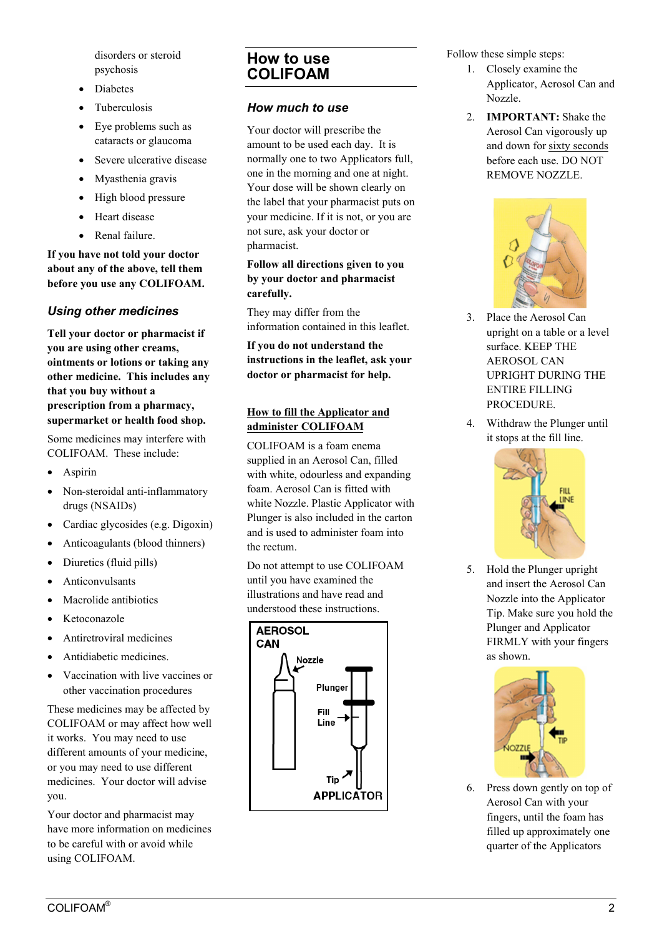disorders or steroid psychosis

- Diabetes
- Tuberculosis
- Eye problems such as cataracts or glaucoma
- Severe ulcerative disease
- Myasthenia gravis
- High blood pressure
- Heart disease
- Renal failure.

**If you have not told your doctor about any of the above, tell them before you use any COLIFOAM.**

## *Using other medicines*

**Tell your doctor or pharmacist if you are using other creams, ointments or lotions or taking any other medicine. This includes any that you buy without a prescription from a pharmacy, supermarket or health food shop.**

Some medicines may interfere with COLIFOAM. These include:

- Aspirin
- Non-steroidal anti-inflammatory drugs (NSAIDs)
- Cardiac glycosides (e.g. Digoxin)
- Anticoagulants (blood thinners)
- Diuretics (fluid pills)
- Anticonvulsants
- Macrolide antibiotics
- Ketoconazole
- Antiretroviral medicines
- Antidiabetic medicines.
- Vaccination with live vaccines or other vaccination procedures

These medicines may be affected by COLIFOAM or may affect how well it works. You may need to use different amounts of your medicine, or you may need to use different medicines. Your doctor will advise you.

Your doctor and pharmacist may have more information on medicines to be careful with or avoid while using COLIFOAM.

# **How to use COLIFOAM**

## *How much to use*

Your doctor will prescribe the amount to be used each day. It is normally one to two Applicators full, one in the morning and one at night. Your dose will be shown clearly on the label that your pharmacist puts on your medicine. If it is not, or you are not sure, ask your doctor or pharmacist.

### **Follow all directions given to you by your doctor and pharmacist carefully.**

They may differ from the information contained in this leaflet.

**If you do not understand the instructions in the leaflet, ask your doctor or pharmacist for help.**

### **How to fill the Applicator and administer COLIFOAM**

COLIFOAM is a foam enema supplied in an Aerosol Can, filled with white, odourless and expanding foam. Aerosol Can is fitted with white Nozzle. Plastic Applicator with Plunger is also included in the carton and is used to administer foam into the rectum.

Do not attempt to use COLIFOAM until you have examined the illustrations and have read and understood these instructions.



Follow these simple steps:

- 1. Closely examine the Applicator, Aerosol Can and Nozzle.
- 2. **IMPORTANT:** Shake the Aerosol Can vigorously up and down for sixty seconds before each use. DO NOT REMOVE NOZZLE.



- 3. Place the Aerosol Can upright on a table or a level surface. KEEP THE AEROSOL CAN UPRIGHT DURING THE ENTIRE FILLING PROCEDURE.
- 4. Withdraw the Plunger until it stops at the fill line.



5. Hold the Plunger upright and insert the Aerosol Can Nozzle into the Applicator Tip. Make sure you hold the Plunger and Applicator FIRMLY with your fingers as shown.



6. Press down gently on top of Aerosol Can with your fingers, until the foam has filled up approximately one quarter of the Applicators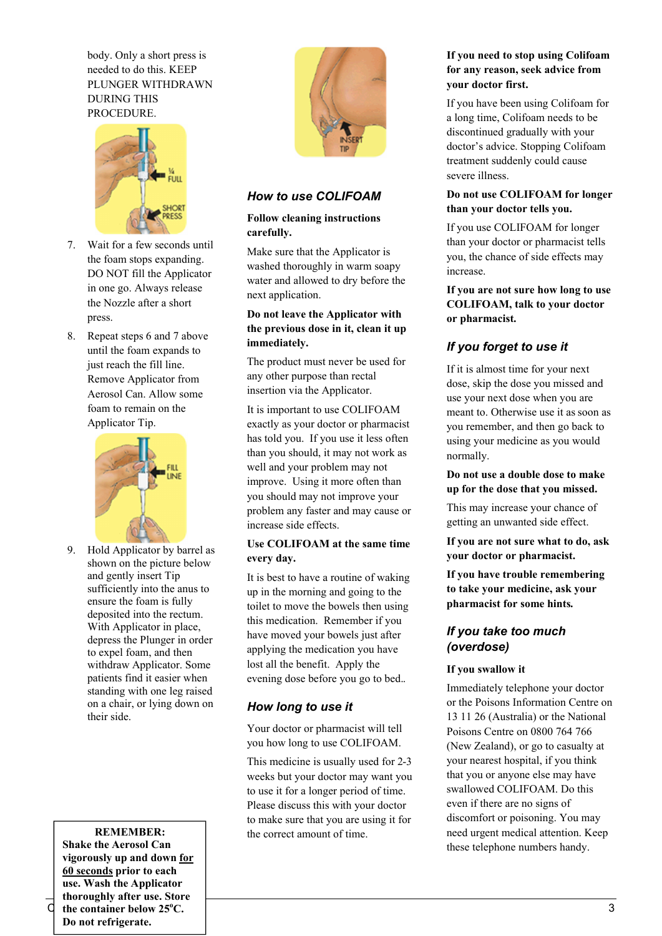body. Only a short press is needed to do this. KEEP PLUNGER WITHDRAWN DURING THIS PROCEDURE.



- 7. Wait for a few seconds until the foam stops expanding. DO NOT fill the Applicator in one go. Always release the Nozzle after a short press.
- 8. Repeat steps 6 and 7 above until the foam expands to just reach the fill line. Remove Applicator from Aerosol Can. Allow some foam to remain on the Applicator Tip.



9. Hold Applicator by barrel as shown on the picture below and gently insert Tip sufficiently into the anus to ensure the foam is fully deposited into the rectum. With Applicator in place, depress the Plunger in order to expel foam, and then withdraw Applicator. Some patients find it easier when standing with one leg raised on a chair, or lying down on their side.

### **REMEMBER:**

 $\overrightarrow{C}$  the container below 25<sup>o</sup>C. **Shake the Aerosol Can vigorously up and down for 60 seconds prior to each use. Wash the Applicator thoroughly after use. Store Do not refrigerate.**



## *How to use COLIFOAM*

### **Follow cleaning instructions carefully.**

Make sure that the Applicator is washed thoroughly in warm soapy water and allowed to dry before the next application.

### **Do not leave the Applicator with the previous dose in it, clean it up immediately.**

The product must never be used for any other purpose than rectal insertion via the Applicator.

It is important to use COLIFOAM exactly as your doctor or pharmacist has told you. If you use it less often than you should, it may not work as well and your problem may not improve. Using it more often than you should may not improve your problem any faster and may cause or increase side effects.

#### **Use COLIFOAM at the same time every day.**

It is best to have a routine of waking up in the morning and going to the toilet to move the bowels then using this medication. Remember if you have moved your bowels just after applying the medication you have lost all the benefit. Apply the evening dose before you go to bed..

### *How long to use it*

Your doctor or pharmacist will tell you how long to use COLIFOAM.

This medicine is usually used for 2-3 weeks but your doctor may want you to use it for a longer period of time. Please discuss this with your doctor to make sure that you are using it for the correct amount of time.

## **If you need to stop using Colifoam for any reason, seek advice from your doctor first.**

If you have been using Colifoam for a long time, Colifoam needs to be discontinued gradually with your doctor's advice. Stopping Colifoam treatment suddenly could cause severe illness.

### **Do not use COLIFOAM for longer than your doctor tells you.**

If you use COLIFOAM for longer than your doctor or pharmacist tells you, the chance of side effects may increase.

**If you are not sure how long to use COLIFOAM, talk to your doctor or pharmacist.** 

# *If you forget to use it*

If it is almost time for your next dose, skip the dose you missed and use your next dose when you are meant to. Otherwise use it as soon as you remember, and then go back to using your medicine as you would normally.

#### **Do not use a double dose to make up for the dose that you missed.**

This may increase your chance of getting an unwanted side effect.

**If you are not sure what to do, ask your doctor or pharmacist.**

**If you have trouble remembering to take your medicine, ask your pharmacist for some hints.** 

## *If you take too much (overdose)*

### **If you swallow it**

Immediately telephone your doctor or the Poisons Information Centre on 13 11 26 (Australia) or the National Poisons Centre on 0800 764 766 (New Zealand), or go to casualty at your nearest hospital, if you think that you or anyone else may have swallowed COLIFOAM. Do this even if there are no signs of discomfort or poisoning. You may need urgent medical attention. Keep these telephone numbers handy.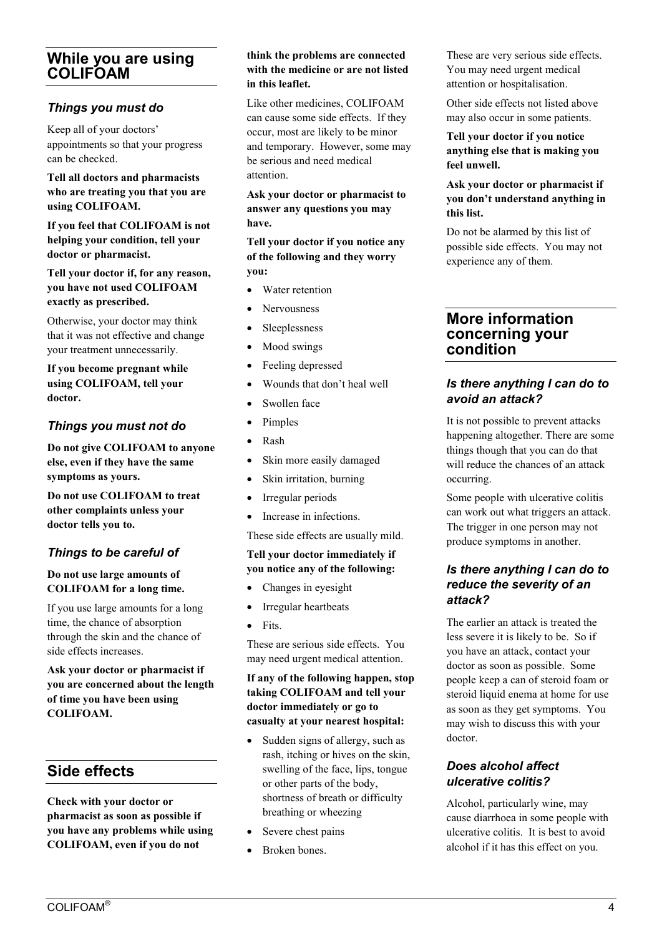# **While you are using COLIFOAM**

## *Things you must do*

Keep all of your doctors' appointments so that your progress can be checked.

### **Tell all doctors and pharmacists who are treating you that you are using COLIFOAM.**

**If you feel that COLIFOAM is not helping your condition, tell your doctor or pharmacist.**

**Tell your doctor if, for any reason, you have not used COLIFOAM exactly as prescribed.** 

Otherwise, your doctor may think that it was not effective and change your treatment unnecessarily.

**If you become pregnant while using COLIFOAM, tell your doctor.** 

# *Things you must not do*

**Do not give COLIFOAM to anyone else, even if they have the same symptoms as yours.** 

**Do not use COLIFOAM to treat other complaints unless your doctor tells you to.**

# *Things to be careful of*

### **Do not use large amounts of COLIFOAM for a long time.**

If you use large amounts for a long time, the chance of absorption through the skin and the chance of side effects increases.

**Ask your doctor or pharmacist if you are concerned about the length of time you have been using COLIFOAM.** 

# **Side effects**

**Check with your doctor or pharmacist as soon as possible if you have any problems while using COLIFOAM, even if you do not** 

#### **think the problems are connected with the medicine or are not listed in this leaflet.**

Like other medicines, COLIFOAM can cause some side effects. If they occur, most are likely to be minor and temporary. However, some may be serious and need medical attention.

**Ask your doctor or pharmacist to answer any questions you may have.**

### **Tell your doctor if you notice any of the following and they worry you:**

- Water retention
- Nervousness
- Sleeplessness
- Mood swings
- Feeling depressed
- Wounds that don't heal well
- Swollen face
- Pimples
- Rash
- Skin more easily damaged
- Skin irritation, burning
- Irregular periods
- Increase in infections.

These side effects are usually mild.

#### **Tell your doctor immediately if you notice any of the following:**

- Changes in eyesight
- Irregular heartbeats
- Fits.

These are serious side effects. You may need urgent medical attention.

### **If any of the following happen, stop taking COLIFOAM and tell your doctor immediately or go to casualty at your nearest hospital:**

- Sudden signs of allergy, such as rash, itching or hives on the skin, swelling of the face, lips, tongue or other parts of the body, shortness of breath or difficulty breathing or wheezing
- Severe chest pains
- Broken bones.

These are very serious side effects. You may need urgent medical attention or hospitalisation.

Other side effects not listed above may also occur in some patients.

**Tell your doctor if you notice anything else that is making you feel unwell.**

### **Ask your doctor or pharmacist if you don't understand anything in this list.**

Do not be alarmed by this list of possible side effects. You may not experience any of them.

# **More information concerning your condition**

# *Is there anything I can do to avoid an attack?*

It is not possible to prevent attacks happening altogether. There are some things though that you can do that will reduce the chances of an attack occurring.

Some people with ulcerative colitis can work out what triggers an attack. The trigger in one person may not produce symptoms in another.

## *Is there anything I can do to reduce the severity of an attack?*

The earlier an attack is treated the less severe it is likely to be. So if you have an attack, contact your doctor as soon as possible. Some people keep a can of steroid foam or steroid liquid enema at home for use as soon as they get symptoms. You may wish to discuss this with your doctor.

# *Does alcohol affect ulcerative colitis?*

Alcohol, particularly wine, may cause diarrhoea in some people with ulcerative colitis. It is best to avoid alcohol if it has this effect on you.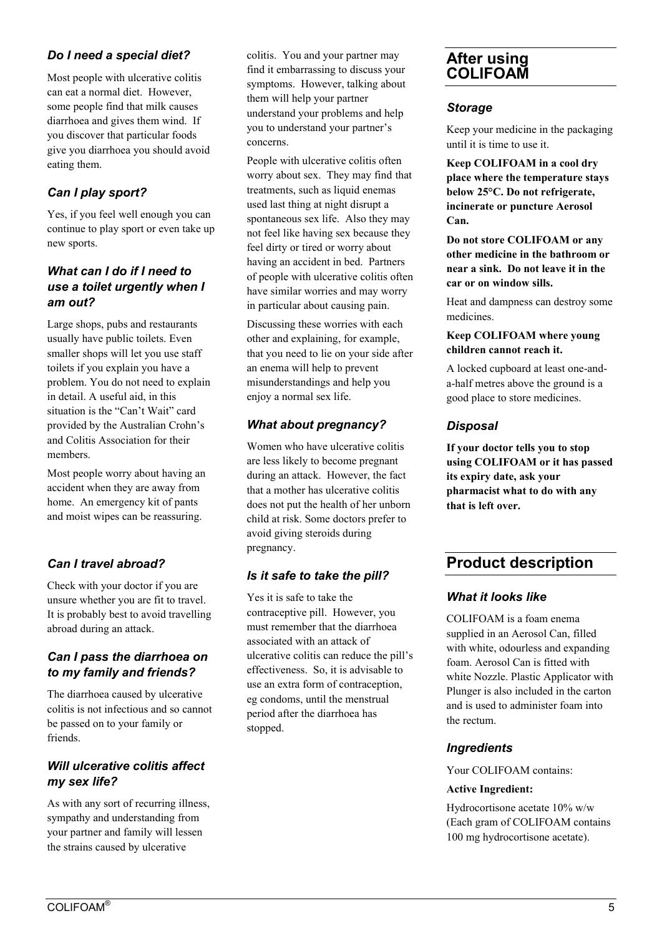# *Do I need a special diet?*

Most people with ulcerative colitis can eat a normal diet. However, some people find that milk causes diarrhoea and gives them wind. If you discover that particular foods give you diarrhoea you should avoid eating them.

# *Can I play sport?*

Yes, if you feel well enough you can continue to play sport or even take up new sports.

# *What can I do if I need to use a toilet urgently when I am out?*

Large shops, pubs and restaurants usually have public toilets. Even smaller shops will let you use staff toilets if you explain you have a problem. You do not need to explain in detail. A useful aid, in this situation is the "Can't Wait" card provided by the Australian Crohn's and Colitis Association for their members.

Most people worry about having an accident when they are away from home. An emergency kit of pants and moist wipes can be reassuring.

# *Can I travel abroad?*

Check with your doctor if you are unsure whether you are fit to travel. It is probably best to avoid travelling abroad during an attack.

# *Can I pass the diarrhoea on to my family and friends?*

The diarrhoea caused by ulcerative colitis is not infectious and so cannot be passed on to your family or friends.

# *Will ulcerative colitis affect my sex life?*

As with any sort of recurring illness, sympathy and understanding from your partner and family will lessen the strains caused by ulcerative

colitis. You and your partner may find it embarrassing to discuss your symptoms. However, talking about them will help your partner understand your problems and help you to understand your partner's concerns.

People with ulcerative colitis often worry about sex. They may find that treatments, such as liquid enemas used last thing at night disrupt a spontaneous sex life. Also they may not feel like having sex because they feel dirty or tired or worry about having an accident in bed. Partners of people with ulcerative colitis often have similar worries and may worry in particular about causing pain.

Discussing these worries with each other and explaining, for example, that you need to lie on your side after an enema will help to prevent misunderstandings and help you enjoy a normal sex life.

# *What about pregnancy?*

Women who have ulcerative colitis are less likely to become pregnant during an attack. However, the fact that a mother has ulcerative colitis does not put the health of her unborn child at risk. Some doctors prefer to avoid giving steroids during pregnancy.

# *Is it safe to take the pill?*

Yes it is safe to take the contraceptive pill. However, you must remember that the diarrhoea associated with an attack of ulcerative colitis can reduce the pill's effectiveness. So, it is advisable to use an extra form of contraception, eg condoms, until the menstrual period after the diarrhoea has stopped.

# **After using COLIFOAM**

## *Storage*

Keep your medicine in the packaging until it is time to use it.

**Keep COLIFOAM in a cool dry place where the temperature stays below 25°C. Do not refrigerate, incinerate or puncture Aerosol Can.**

**Do not store COLIFOAM or any other medicine in the bathroom or near a sink. Do not leave it in the car or on window sills.**

Heat and dampness can destroy some medicines.

### **Keep COLIFOAM where young children cannot reach it.**

A locked cupboard at least one-anda-half metres above the ground is a good place to store medicines.

# *Disposal*

**If your doctor tells you to stop using COLIFOAM or it has passed its expiry date, ask your pharmacist what to do with any that is left over.**

# **Product description**

# *What it looks like*

COLIFOAM is a foam enema supplied in an Aerosol Can, filled with white, odourless and expanding foam. Aerosol Can is fitted with white Nozzle. Plastic Applicator with Plunger is also included in the carton and is used to administer foam into the rectum.

# *Ingredients*

Your COLIFOAM contains:

### **Active Ingredient:**

Hydrocortisone acetate 10% w/w (Each gram of COLIFOAM contains 100 mg hydrocortisone acetate).